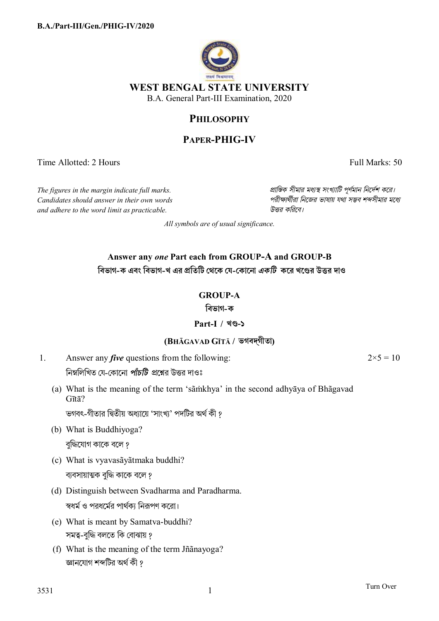

# **PHILOSOPHY**

# **PAPER-PHIG-IV**

Time Allotted: 2 Hours Full Marks: 50

*Candidates should answer in their own words পরীkাথীরা িনেজর ভাষায় যথা সmব শbসীমার মেধ° and adhere to the word limit as practicable. উtর কিরেব।*

*The figures in the margin indicate full marks. pািnক সীমার মধ°s সংখ°ািট পূণমান িনেদশ কের।*

*All symbols are of usual significance.*

# **Answer any** *one* **Part each from GROUP-A and GROUP-B িবভাগ-ক এবং িবভাগ-খ এর pিতিট থেক য-কােনা** *একিট* **কের খেčর উtর দাও**

# **GROUP-A**

### **িবভাগ-ক**

# **Part-I / খč-১**

# **(BHĀGAVAD GĪTĀ / ভগবদ্গীতা)**

- 1. Answer any *five* questions from the following: নিম্নলিখিত যে-কোনো *পাঁচটি প্র*শ্নের উত্তর দাওঃ
	- (a) What is the meaning of the term 'sãṁkhya' in the second adhyāya of Bhãgavad Gītā?

ভগবৎ-গীতার দ্বিতীয় অধ্যায়ে 'সাংখ্য' পদটির অর্থ কী ?

- (b) What is Buddhiyoga? বুদ্ধিযোগ কাকে বলে ?
- (c) What is vyavasãyãtmaka buddhi? ব্যবসায়াত্মক বুদ্ধি কাকে বলে ?
- (d) Distinguish between Svadharma and Paradharma. স্বধর্ম ও পরধর্মের পার্থকা নিরূপণ করো।
- (e) What is meant by Samatva-buddhi? সমত্ব-বুদ্ধি বলতে কি বোঝায় ?
- (f) What is the meaning of the term Jñãnayoga? জ্ঞানযোগ শব্দটির অর্থ কী ?

 $2 \times 5 = 10$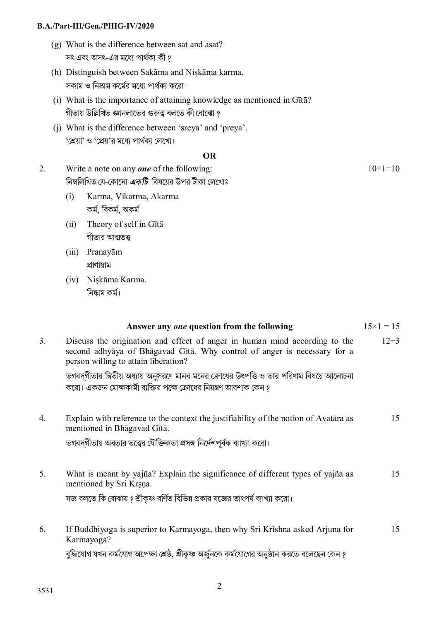- (g) What is the difference between sat and asat? সৎ এবং অসৎ-এর মধ্যে পার্থক্য কী ?
- (h) Distinguish between Sakãma and Niṣkãma karma. সকাম ও নিষ্কাম কর্মের মধ্যে পার্থক্য করো।
- (i) What is the importance of attaining knowledge as mentioned in Gītā? গীতায় উল্লিখিত জ্ঞানলাভের গুরুত্ব বলতে কী বোঝো ?
- (j) What is the difference between 'sreya' and 'preya'. 'শ্রেয়া' ও 'প্রেয়'র মধ্যে পার্থক্য লেখাে।

#### **OR**

- 2. Write a note on any *one* of the following: িনmিলিখত েয-েকােনা *একিট* িবষেয়র উপর টীকা েলেখাঃ  $10\times1=10$ 
	- (i) Karma, Vikarma, Akarma কম, িবকম, অকম
	- (ii) Theory of self in Gītā গীতার আত্মতত্ত
	- (iii) Pranayām pাণায়াম
	- (iv) Niṣkāma Karma. নিষ্কাম কৰ্ম।

|    | Answer any one question from the following                                                                                                                                                     | $15 \times 1 = 15$ |
|----|------------------------------------------------------------------------------------------------------------------------------------------------------------------------------------------------|--------------------|
| 3. | Discuss the origination and effect of anger in human mind according to the<br>second adhyaya of Bhagavad Gītā. Why control of anger is necessary for a<br>person willing to attain liberation? | $12 + 3$           |
|    | ভগবদ্গীতার দ্বিতীয় অধ্যায় অনুসরণে মানব মনের ক্রোধের উৎপত্তি ও তার পরিণাম বিষয়ে আলোচনা<br>করো। একজন মোক্ষকামী ব্যক্তির পক্ষে ক্রোধের নিয়ন্ত্রণ আবশ্যক কেন ?                                 |                    |
| 4. | Explain with reference to the context the justifiability of the notion of Avatara as<br>mentioned in Bhagavad Gītā.                                                                            | 15                 |
|    | ভগবদগীতায় অবতার তত্ত্বের যৌক্তিকতা প্রসঙ্গ নির্দেশপূর্বক ব্যাখ্যা করো।                                                                                                                        |                    |
| 5. | What is meant by yajña? Explain the significance of different types of yajña as<br>mentioned by Sri Krsna.                                                                                     | 15                 |
|    | যজ্ঞ বলতে কি বোঝায় ? শ্রীকৃষ্ণ বর্ণিত বিভিন্ন প্রকার যজ্ঞের তাৎপর্য ব্যাখ্যা করো।                                                                                                             |                    |
| 6. | If Buddhiyoga is superior to Karmayoga, then why Sri Krishna asked Arjuna for<br>Karmayoga?                                                                                                    | 15                 |
|    | বুদ্ধিযোগ যখন কৰ্মযোগ অপেক্ষা শ্ৰেষ্ঠ, শ্ৰীকৃষ্ণ অৰ্জুনকে কৰ্মযোগের অনুষ্ঠান করতে বলেছেন কেন ?                                                                                                 |                    |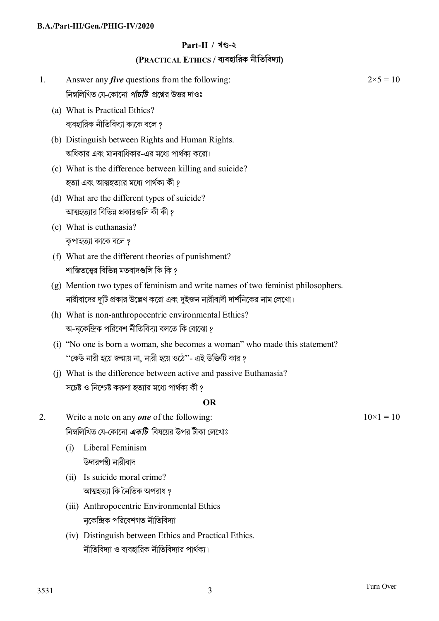### **Part-II / খč-২**

### **(PRACTICAL ETHICS / ব°বহািরক নীিতিবদ°া)**

- 1. Answer any *five* questions from the following: নিম্নলিখিত যে-কোনো *পাঁচটি প্র*শ্নের উত্তর দাওঃ  $2 \times 5 = 10$ (a) What is Practical Ethics? ব্যবহারিক নীতিবিদ্যা কাকে বলে ? (b) Distinguish between Rights and Human Rights. অধিকার এবং মানবাধিকার-এর মধ্যে পার্থক্য করো। (c) What is the difference between killing and suicide? হত্যা এবং আত্মহত্যার মধ্যে পার্থক্য কী ? (d) What are the different types of suicide? আত্মহত্যার বিভিন্ন প্রকারগুলি কী কী <u>?</u> (e) What is euthanasia? কপাহত্যা কাকে বলে ? (f) What are the different theories of punishment? শাস্তিতত্ত্বের বিভিন্ন মতবাদগুলি কি কি ? (g) Mention two types of feminism and write names of two feminist philosophers. নারীবাদের দুটি প্রকার উল্লেখ করো এবং দুইজন নারীবাদী দার্শনিকের নাম লেখো। (h) What is non-anthropocentric environmental Ethics? অ-নকেন্দ্রিক পরিবেশ নীতিবিদ্যা বলতে কি বােঝাে ? (i) "No one is born a woman, she becomes a woman" who made this statement? ''কেউ নারী হয়ে জন্মায় না, নারী হয়ে ওঠে''- এই উক্তিটি কার ? (j) What is the difference between active and passive Euthanasia? সচেষ্ট ও নিশ্চেষ্ট করুণা হতাার মধ্যে পার্থকা কী ? **OR**  2. Write a note on any *one* of the following: িনmিলিখত েয-েকােনা *একিট* িবষেয়র উপর টীকা েলেখাঃ  $10\times1 = 10$  (i) Liberal Feminism উদারপন্থী নারীবাদ (ii) Is suicide moral crime? আত্মহতাা কি নৈতিক অপরাধ *?*  (iii) Anthropocentric Environmental Ethics নকেন্দ্রিক পরিবেশগত নীতিবিদ্যা
	- (iv) Distinguish between Ethics and Practical Ethics. নীতিবিদ্যা ও ব্যবহারিক নীতিবিদ্যার পার্থক্য।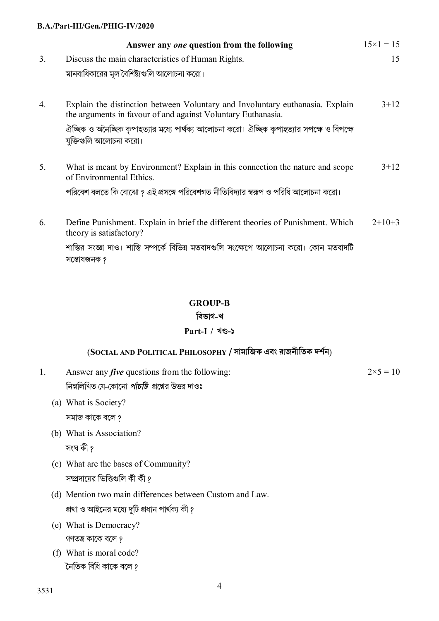|                | Answer any one question from the following                                                                                                    | $15 \times 1 = 15$ |
|----------------|-----------------------------------------------------------------------------------------------------------------------------------------------|--------------------|
| 3 <sub>1</sub> | Discuss the main characteristics of Human Rights.                                                                                             | 15                 |
|                | মানবাধিকারের মূল বৈশিষ্ট্যগুলি আলোচনা করো।                                                                                                    |                    |
| 4.             | Explain the distinction between Voluntary and Involuntary euthanasia. Explain<br>the arguments in favour of and against Voluntary Euthanasia. | $3 + 12$           |
|                | ঐচ্ছিক ও অনৈচ্ছিক কৃপাহত্যার মধ্যে পার্থক্য আলোচনা করো। ঐচ্ছিক কৃপাহত্যার সপক্ষে ও বিপক্ষে<br>যুক্তিগুলি আলোচনা করো।                          |                    |
| 5.             | What is meant by Environment? Explain in this connection the nature and scope<br>of Environmental Ethics.                                     | $3 + 12$           |
|                | পরিবেশ বলতে কি বোঝো ? এই প্রসঙ্গে পরিবেশগত নীতিবিদ্যার স্বরূপ ও পরিধি আলোচনা করো।                                                             |                    |
| 6.             | Define Punishment. Explain in brief the different theories of Punishment. Which<br>theory is satisfactory?                                    | $2+10+3$           |
|                | শাস্তির সংজ্ঞা দাও। শাস্তি সম্পর্কে বিভিন্ন মতবাদগুলি সংক্ষেপে আলোচনা করো। কোন মতবাদটি<br>সম্ভোষজনক ?                                         |                    |

### **GROUP-B**

#### **িবভাগ-খ**

### **Part-I / খč-১**

## (**SOCIAL AND POLITICAL PHILOSOPHY / সামািজক এবং রাজনীিতক দশন**)

1. Answer any *five* questions from the following: নিম্নলিখিত যে-কোনো *পাঁচটি প্র*শ্নের উত্তর দাওঃ

 $2 \times 5 = 10$ 

- (a) What is Society? সমাজ কােক বেল ?
- (b) What is Association?
	- সংঘ কী ?
- (c) What are the bases of Community? সম্প্রদায়ের ভিত্তিগুলি কী কী ?
- (d) Mention two main differences between Custom and Law. প্রথা ও আইনের মধ্যে দুটি প্রধান পার্থক্য কী ?
- (e) What is Democracy? গণতন্ত্ৰ কাকে বলে ?
- (f) What is moral code? নৈতিক বিধি কাকে বলে ?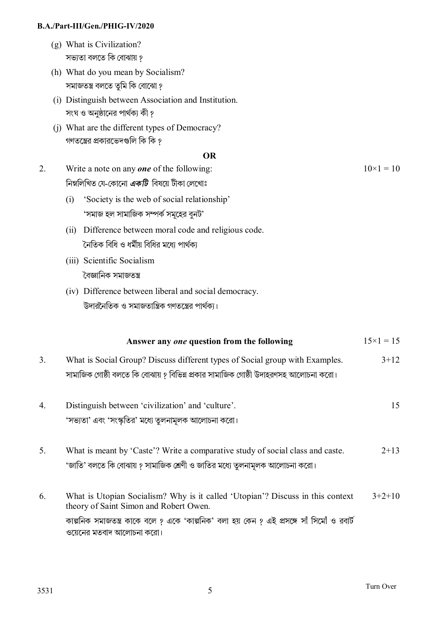- (g) What is Civilization? সভ্যতা বলতে কি বোঝায় ?
- (h) What do you mean by Socialism? সমাজতন্ত্ৰ বলতে তুমি কি বোঝো ?
- (i) Distinguish between Association and Institution. সংঘ ও অনুষ্ঠানের পার্থক্য কী ?
- (j) What are the different types of Democracy? গণতন্ত্রের প্রকারভেদগুলি কি কি ?

#### **OR**

- 2. Write a note on any *one* of the following: িনmিলিখত েয-েকােনা *একিট* িবষেয় টীকা েলেখাঃ  $10\times1 = 10$ 
	- (i) 'Society is the web of social relationship' 'সমাজ হল সামাজিক সম্পর্ক সমূহের বুনট'
	- (ii) Difference between moral code and religious code. নৈতিক বিধি ও ধর্মীয় বিধির মধ্যে পার্থক্য
	- (iii) Scientific Socialism বৈজ্ঞানিক সমাজতন্ত্ৰ
	- (iv) Difference between liberal and social democracy. উদারনৈতিক ও সমাজতান্ত্রিক গণতন্ত্রের পার্থক্য।

|    | Answer any one question from the following                                                                                                                                                                                                          | $15 \times 1 = 15$ |
|----|-----------------------------------------------------------------------------------------------------------------------------------------------------------------------------------------------------------------------------------------------------|--------------------|
| 3. | What is Social Group? Discuss different types of Social group with Examples.<br>সামাজিক গোষ্ঠী বলতে কি বোঝায় ? বিভিন্ন প্রকার সামাজিক গোষ্ঠী উদাহরণসহ আলোচনা করো।                                                                                  | $3+12$             |
| 4. | Distinguish between 'civilization' and 'culture'.<br>'সভ্যতা' এবং 'সংস্কৃতির' মধ্যে তুলনামূলক আলোচনা করো।                                                                                                                                           | 15                 |
| 5. | What is meant by 'Caste'? Write a comparative study of social class and caste.<br>'জাতি' বলতে কি বোঝায় ? সামাজিক শ্রেণী ও জাতির মধ্যে তুলনামূলক আলোচনা করো।                                                                                        | $2+13$             |
| 6. | What is Utopian Socialism? Why is it called 'Utopian'? Discuss in this context<br>theory of Saint Simon and Robert Owen.<br>কাল্পনিক সমাজতন্ত্র কাকে বলে ? একে 'কাল্পনিক' বলা হয় কেন ? এই প্রসঙ্গে সাঁ সিমোঁ ও রবার্ট<br>ওয়েনের মতবাদ আলোচনা করো। | $3+2+10$           |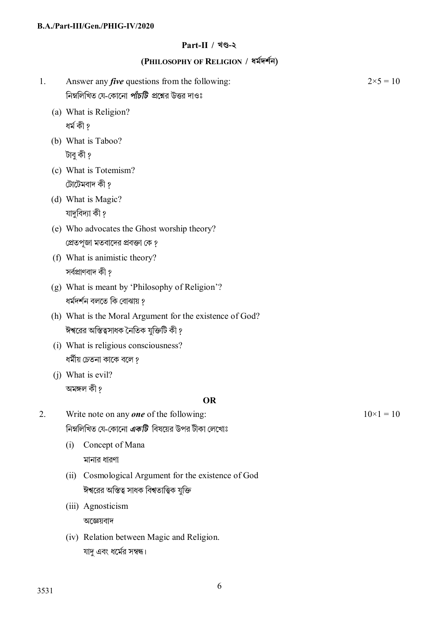## **Part-II / খč-২**

# **(PHILOSOPHY OF RELIGION / ধমদশন)**

| 1. | Answer any <i>five</i> questions from the following:     | $2 \times 5 = 10$ |
|----|----------------------------------------------------------|-------------------|
|    | নিম্নলিখিত যে-কোনো <i>পাঁচটি প্র</i> শ্নের উত্তর দাওঃ    |                   |
|    | (a) What is Religion?                                    |                   |
|    | ধৰ্ম কী ?                                                |                   |
|    | (b) What is Taboo?                                       |                   |
|    | টাবু কী ?                                                |                   |
|    | (c) What is Totemism?                                    |                   |
|    | টোটেমবাদ কী ?                                            |                   |
|    | (d) What is Magic?                                       |                   |
|    | যাদুবিদ্যা কী ?                                          |                   |
|    | (e) Who advocates the Ghost worship theory?              |                   |
|    | প্রেতপূজা মতবাদের প্রবক্তা কে ?                          |                   |
|    | (f) What is animistic theory?                            |                   |
|    | সৰ্বপ্ৰাণবাদ কী ?                                        |                   |
|    | (g) What is meant by 'Philosophy of Religion'?           |                   |
|    | ধৰ্মদৰ্শন বলতে কি বোঝায় ?                               |                   |
|    | (h) What is the Moral Argument for the existence of God? |                   |
|    | ঈশ্বরের অস্তিত্বসাধক নৈতিক যুক্তিটি কী ?                 |                   |
|    | (i) What is religious consciousness?                     |                   |
|    | ধর্মীয় চেতনা কাকে বলে ?                                 |                   |
|    | (j) What is evil?                                        |                   |
|    | অমঙ্গল কী ?                                              |                   |
|    | <b>OR</b>                                                |                   |
| 2. | Write note on any <b>one</b> of the following:           | $10\times1=10$    |
|    | নিম্নলিখিত যে-কোনো <i>একটি</i> বিষয়ের উপর টীকা লেখোঃ    |                   |
|    | Concept of Mana<br>(i)                                   |                   |
|    | মানার ধারণা                                              |                   |
|    | Cosmological Argument for the existence of God<br>(ii)   |                   |
|    | ঈশ্বরের অস্তিত্ব সাধক বিশ্বতাত্ত্বিক যুক্তি              |                   |
|    | (iii) Agnosticism                                        |                   |
|    | অজ্ঞেয়বাদ                                               |                   |
|    | (iv) Relation between Magic and Religion.                |                   |
|    | যাদু এবং ধর্মের সম্বন্ধ।                                 |                   |
|    |                                                          |                   |